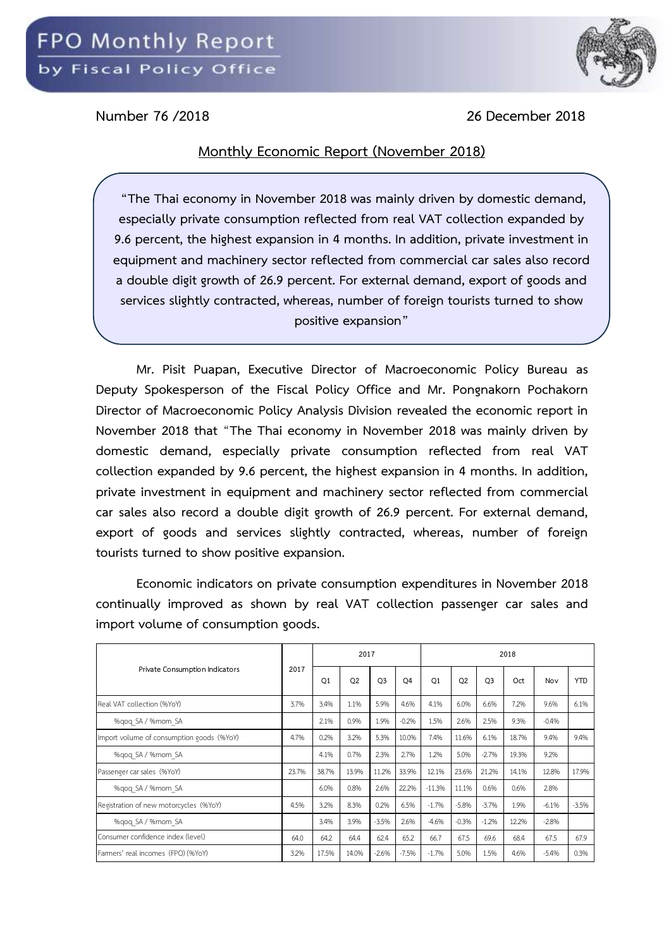

**Number 76 /2018 26 December 2018**

## **Monthly Economic Report (November 2018)**

**"The Thai economy in November 2018 was mainly driven by domestic demand, especially private consumption reflected from real VAT collection expanded by 9.6 percent, the highest expansion in 4 months. In addition, private investment in equipment and machinery sector reflected from commercial car sales also record a double digit growth of 26.9 percent. For external demand, export of goods and services slightly contracted, whereas, number of foreign tourists turned to show positive expansion"**

**Mr. Pisit Puapan, Executive Director of Macroeconomic Policy Bureau as Deputy Spokesperson of the Fiscal Policy Office and Mr. Pongnakorn Pochakorn Director of Macroeconomic Policy Analysis Division revealed the economic report in November 2018 that** "**The Thai economy in November 2018 was mainly driven by domestic demand, especially private consumption reflected from real VAT collection expanded by 9.6 percent, the highest expansion in 4 months. In addition, private investment in equipment and machinery sector reflected from commercial car sales also record a double digit growth of 26.9 percent. For external demand, export of goods and services slightly contracted, whereas, number of foreign tourists turned to show positive expansion.** 

**Economic indicators on private consumption expenditures in November 2018 continually improved as shown by real VAT collection passenger car sales and import volume of consumption goods.**

| Private Consumption Indicators            | 2017  |                | 2017           |                |                | 2018           |                |                |       |         |            |  |
|-------------------------------------------|-------|----------------|----------------|----------------|----------------|----------------|----------------|----------------|-------|---------|------------|--|
|                                           |       | O <sub>1</sub> | O <sub>2</sub> | O <sub>3</sub> | O <sub>4</sub> | O <sub>1</sub> | O <sub>2</sub> | O <sub>3</sub> | Oct   | Nov     | <b>YTD</b> |  |
| Real VAT collection (%YoY)                | 3.7%  | 3.4%           | 1.1%           | 5.9%           | 4.6%           | 4.1%           | 6.0%           | 6.6%           | 7.2%  | 9.6%    | 6.1%       |  |
| %gog SA / %mom SA                         |       | 2.1%           | 0.9%           | 1.9%           | $-0.2%$        | 1.5%           | 2.6%           | 2.5%           | 9.3%  | $-0.4%$ |            |  |
| Import volume of consumption goods (%YoY) | 4.7%  | 0.2%           | 3.2%           | 5.3%           | 10.0%          | 7.4%           | 11.6%          | 6.1%           | 18.7% | 9.4%    | 9.4%       |  |
| %gog SA / %mom SA                         |       | 4.1%           | 0.7%           | 2.3%           | 2.7%           | 1.2%           | 5.0%           | $-2.7%$        | 19.3% | 9.2%    |            |  |
| Passenger car sales (%YoY)                | 23.7% | 38.7%          | 13.9%          | 11.2%          | 33.9%          | 12.1%          | 23.6%          | 21.2%          | 14.1% | 12.8%   | 17.9%      |  |
| %gog SA / %mom SA                         |       | 6.0%           | 0.8%           | 2.6%           | 22.2%          | $-11.3%$       | 11.1%          | 0.6%           | 0.6%  | 2.8%    |            |  |
| Registration of new motorcycles (%YoY)    | 4.5%  | 3.2%           | 8.3%           | 0.2%           | 6.5%           | $-1.7%$        | $-5.8%$        | $-3.7%$        | 1.9%  | $-6.1%$ | $-3.5%$    |  |
| %gog SA / %mom SA                         |       | 3.4%           | 3.9%           | $-3.5%$        | 2.6%           | $-4.6%$        | $-0.3%$        | $-1.2%$        | 12.2% | $-2.8%$ |            |  |
| Consumer confidence index (level)         | 64.0  | 64.2           | 64.4           | 62.4           | 65.2           | 66.7           | 67.5           | 69.6           | 68.4  | 67.5    | 67.9       |  |
| Farmers' real incomes (FPO) (%YoY)        | 3.2%  | 17.5%          | 14.0%          | $-2.6%$        | $-7.5%$        | $-1.7%$        | 5.0%           | 1.5%           | 4.6%  | $-5.4%$ | 0.3%       |  |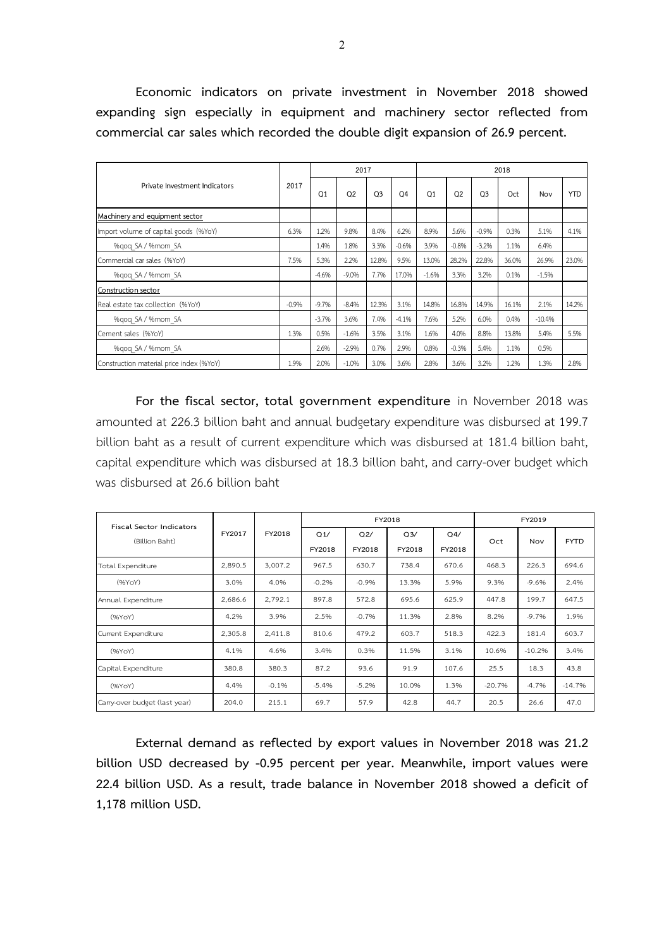**Economic indicators on private investment in November 2018 showed expanding sign especially in equipment and machinery sector reflected from commercial car sales which recorded the double digit expansion of 26.9 percent.**

| Private Investment Indicators            |         |                | 2017           |                |                | 2018           |           |                |       |          |            |  |
|------------------------------------------|---------|----------------|----------------|----------------|----------------|----------------|-----------|----------------|-------|----------|------------|--|
|                                          | 2017    | O <sub>1</sub> | O <sub>2</sub> | O <sub>3</sub> | O <sub>4</sub> | O <sub>1</sub> | <b>O2</b> | O <sub>3</sub> | Oct   | Nov      | <b>YTD</b> |  |
| Machinery and equipment sector           |         |                |                |                |                |                |           |                |       |          |            |  |
| Import volume of capital goods (%YoY)    | 6.3%    | 1.2%           | 9.8%           | 8.4%           | 6.2%           | 8.9%           | 5.6%      | $-0.9%$        | 0.3%  | 5.1%     | 4.1%       |  |
| %gog SA / %mom SA                        |         | 1.4%           | 1.8%           | 3.3%           | $-0.6%$        | 3.9%           | $-0.8%$   | $-3.2%$        | 1.1%  | 6.4%     |            |  |
| Commercial car sales (%YoY)              | 7.5%    | 5.3%           | 2.2%           | 12.8%          | 9.5%           | 13.0%          | 28.2%     | 22.8%          | 36.0% | 26.9%    | 23.0%      |  |
| %gog SA / %mom SA                        |         | $-4.6%$        | $-9.0%$        | 7.7%           | 17.0%          | $-1.6%$        | 3.3%      | 3.2%           | 0.1%  | $-1.5%$  |            |  |
| Construction sector                      |         |                |                |                |                |                |           |                |       |          |            |  |
| Real estate tax collection (%YoY)        | $-0.9%$ | $-9.7%$        | $-8.4%$        | 12.3%          | 3.1%           | 14.8%          | 16.8%     | 14.9%          | 16.1% | 2.1%     | 14.2%      |  |
| %gog SA / %mom SA                        |         | $-3.7%$        | 3.6%           | 7.4%           | $-4.1%$        | 7.6%           | 5.2%      | 6.0%           | 0.4%  | $-10.4%$ |            |  |
| Cement sales (%YoY)                      | 1.3%    | 0.5%           | $-1.6%$        | 3.5%           | 3.1%           | 1.6%           | 4.0%      | 8.8%           | 13.8% | 5.4%     | 5.5%       |  |
| %gog SA / %mom SA                        |         | 2.6%           | $-2.9%$        | 0.7%           | 2.9%           | 0.8%           | $-0.3%$   | 5.4%           | 1.1%  | 0.5%     |            |  |
| Construction material price index (%YoY) | 1.9%    | 2.0%           | $-1.0%$        | 3.0%           | 3.6%           | 2.8%           | 3.6%      | 3.2%           | 1.2%  | 1.3%     | 2.8%       |  |

**For the fiscal sector, total government expenditure** in November 2018 was amounted at 226.3 billion baht and annual budgetary expenditure was disbursed at 199.7 billion baht as a result of current expenditure which was disbursed at 181.4 billion baht, capital expenditure which was disbursed at 18.3 billion baht, and carry-over budget which was disbursed at 26.6 billion baht

| <b>Fiscal Sector Indicators</b> |         | FY2018  |         |         | FY2018         | FY2019 |          |          |             |
|---------------------------------|---------|---------|---------|---------|----------------|--------|----------|----------|-------------|
| (Billion Baht)                  | FY2017  |         | Q1/     | Q2/     | Q <sub>3</sub> | Q4/    | Oct      | Nov      | <b>FYTD</b> |
|                                 |         |         | FY2018  | FY2018  | FY2018         | FY2018 |          |          |             |
| Total Expenditure               | 2,890.5 | 3,007.2 | 967.5   | 630.7   | 738.4          | 670.6  | 468.3    | 226.3    | 694.6       |
| (96YoY)                         | 3.0%    | 4.0%    | $-0.2%$ | $-0.9%$ | 13.3%          | 5.9%   | 9.3%     | $-9.6%$  | 2.4%        |
| Annual Expenditure              | 2,686.6 | 2,792.1 | 897.8   | 572.8   | 695.6          | 625.9  | 447.8    | 199.7    | 647.5       |
| (96YoY)                         | 4.2%    | 3.9%    | 2.5%    | $-0.7%$ | 11.3%          | 2.8%   | 8.2%     | $-9.7%$  | 1.9%        |
| Current Expenditure             | 2,305.8 | 2,411.8 | 810.6   | 479.2   | 603.7          | 518.3  | 422.3    | 181.4    | 603.7       |
| (96YoY)                         | 4.1%    | 4.6%    | 3.4%    | 0.3%    | 11.5%          | 3.1%   | 10.6%    | $-10.2%$ | 3.4%        |
| Capital Expenditure             | 380.8   | 380.3   | 87.2    | 93.6    | 91.9           | 107.6  | 25.5     | 18.3     | 43.8        |
| (96YoY)                         | 4.4%    | $-0.1%$ | $-5.4%$ | $-5.2%$ | 10.0%          | 1.3%   | $-20.7%$ | $-4.7%$  | $-14.7%$    |
| Carry-over budget (last year)   | 204.0   | 215.1   | 69.7    | 57.9    | 42.8           | 44.7   | 20.5     | 26.6     | 47.0        |

**External demand as reflected by export values in November 2018 was 21.2 billion USD decreased by -0.95 percent per year. Meanwhile, import values were 22.4 billion USD. As a result, trade balance in November 2018 showed a deficit of 1,178 million USD.**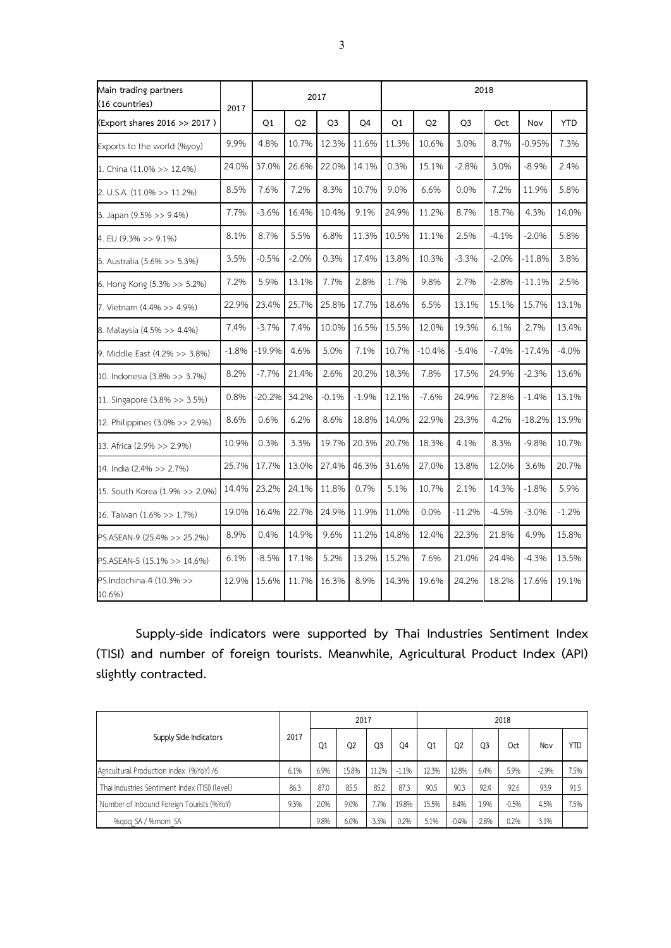| Main trading partners<br>(16 countries) | 2017    |          |                | 2017           |                | 2018  |          |                |         |           |            |  |  |
|-----------------------------------------|---------|----------|----------------|----------------|----------------|-------|----------|----------------|---------|-----------|------------|--|--|
| (Export shares 2016 >> 2017)            |         | Q1       | Q <sub>2</sub> | Q <sub>3</sub> | O <sub>4</sub> | Q1    | Q2       | Q <sub>3</sub> | Oct     | Nov       | <b>YTD</b> |  |  |
| Exports to the world (%yoy)             | 9.9%    | 4.8%     | 10.7%          | 12.3%          | 11.6%          | 11.3% | 10.6%    | 3.0%           | 8.7%    | $-0.95\%$ | 7.3%       |  |  |
| 1. China (11.0% >> 12.4%)               | 24.0%   | 37.0%    | 26.6%          | 22.0%          | 14.1%          | 0.3%  | 15.1%    | $-2.8%$        | 3.0%    | $-8.9%$   | 2.4%       |  |  |
| 2. U.S.A. (11.0% >> 11.2%)              | 8.5%    | 7.6%     | 7.2%           | 8.3%           | 10.7%          | 9.0%  | 6.6%     | 0.0%           | 7.2%    | 11.9%     | 5.8%       |  |  |
| 3. Japan (9.5% >> 9.4%)                 | 7.7%    | $-3.6%$  | 16.4%          | 10.4%          | 9.1%           | 24.9% | 11.2%    | 8.7%           | 18.7%   | 4.3%      | 14.0%      |  |  |
| 4. EU (9.3% >> 9.1%)                    | 8.1%    | 8.7%     | 5.5%           | 6.8%           | 11.3%          | 10.5% | 11.1%    | 2.5%           | $-4.1%$ | $-2.0%$   | 5.8%       |  |  |
| 5. Australia (5.6% >> 5.3%)             | 3.5%    | $-0.5%$  | $-2.0%$        | 0.3%           | 17.4%          | 13.8% | 10.3%    | $-3.3%$        | $-2.0%$ | $-11.8%$  | 3.8%       |  |  |
| 6. Hong Kong (5.3% >> 5.2%)             | 7.2%    | 5.9%     | 13.1%          | 7.7%           | 2.8%           | 1.7%  | 9.8%     | 2.7%           | $-2.8%$ | $-11.1%$  | 2.5%       |  |  |
| 7. Vietnam (4.4% >> 4.9%)               | 22.9%   | 23.4%    | 25.7%          | 25.8%          | 17.7%          | 18.6% | 6.5%     | 13.1%          | 15.1%   | 15.7%     | 13.1%      |  |  |
| 8. Malaysia (4.5% >> 4.4%)              | 7.4%    | $-3.7%$  | 7.4%           | 10.0%          | 16.5%          | 15.5% | 12.0%    | 19.3%          | 6.1%    | 2.7%      | 13.4%      |  |  |
| 9. Middle East (4.2% >> 3.8%)           | $-1.8%$ | $-19.9%$ | 4.6%           | 5.0%           | 7.1%           | 10.7% | $-10.4%$ | $-5.4%$        | $-7.4%$ | $-17.4%$  | $-4.0%$    |  |  |
| 10. Indonesia (3.8% >> 3.7%)            | 8.2%    | $-7.7%$  | 21.4%          | 2.6%           | 20.2%          | 18.3% | 7.8%     | 17.5%          | 24.9%   | $-2.3%$   | 13.6%      |  |  |
| 11. Singapore (3.8% >> 3.5%)            | 0.8%    | $-20.2%$ | 34.2%          | $-0.1%$        | $-1.9%$        | 12.1% | $-7.6%$  | 24.9%          | 72.8%   | $-1.4%$   | 13.1%      |  |  |
| 12. Philippines (3.0% >> 2.9%)          | 8.6%    | 0.6%     | 6.2%           | 8.6%           | 18.8%          | 14.0% | 22.9%    | 23.3%          | 4.2%    | $-18.2%$  | 13.9%      |  |  |
| 13. Africa (2.9% >> 2.9%)               | 10.9%   | 0.3%     | 3.3%           | 19.7%          | 20.3%          | 20.7% | 18.3%    | 4.1%           | 8.3%    | $-9.8%$   | 10.7%      |  |  |
| 14. India (2.4% >> 2.7%)                | 25.7%   | 17.7%    | 13.0%          | 27.4%          | 46.3%          | 31.6% | 27.0%    | 13.8%          | 12.0%   | 3.6%      | 20.7%      |  |  |
| 15. South Korea (1.9% >> 2.0%)          | 14.4%   | 23.2%    | 24.1%          | 11.8%          | 0.7%           | 5.1%  | 10.7%    | 2.1%           | 14.3%   | $-1.8%$   | 5.9%       |  |  |
| 16. Taiwan (1.6% >> 1.7%)               | 19.0%   | 16.4%    | 22.7%          | 24.9%          | 11.9%          | 11.0% | 0.0%     | $-11.2%$       | $-4.5%$ | $-3.0%$   | $-1.2%$    |  |  |
| PS.ASEAN-9 (25.4% >> 25.2%)             | 8.9%    | 0.4%     | 14.9%          | 9.6%           | 11.2%          | 14.8% | 12.4%    | 22.3%          | 21.8%   | 4.9%      | 15.8%      |  |  |
| PS.ASEAN-5 (15.1% >> 14.6%)             | 6.1%    | $-8.5%$  | 17.1%          | 5.2%           | 13.2%          | 15.2% | 7.6%     | 21.0%          | 24.4%   | $-4.3%$   | 13.5%      |  |  |
| PS.Indochina-4 (10.3% >><br>10.6%)      | 12.9%   | 15.6%    | 11.7%          | 16.3%          | 8.9%           | 14.3% | 19.6%    | 24.2%          | 18.2%   | 17.6%     | 19.1%      |  |  |

**Supply-side indicators were supported by Thai Industries Sentiment Index (TISI) and number of foreign tourists. Meanwhile, Agricultural Product Index (API) slightly contracted.**

| Supply Side Indicators                         |      |                | 2017           |       |         | 2018  |         |         |         |         |            |  |
|------------------------------------------------|------|----------------|----------------|-------|---------|-------|---------|---------|---------|---------|------------|--|
|                                                | 2017 | Q <sub>1</sub> | Q <sub>2</sub> | Q3    | Q4      | Q1    | Q2      | Q3      | Oct     | Nov     | <b>YTD</b> |  |
| Agricultural Production Index (%YoY) /6        | 6.1% | 6.9%           | 15.8%          | 11.2% | $-1.1%$ | 12.3% | 12.8%   | 6.4%    | 5.9%    | $-2.9%$ | 7.5%       |  |
| Thai Industries Sentiment Index (TISI) (level) | 86.3 | 87.0           | 85.5           | 85.2  | 87.3    | 90.5  | 90.3    | 92.4    | 92.6    | 93.9    | 91.5       |  |
| Number of Inbound Foreign Tourists (%YoY)      | 9.3% | 2.0%           | 9.0%           | 7.7%  | 19.8%   | 15.5% | 8.4%    | 1.9%    | $-0.5%$ | 4.5%    | 7.5%       |  |
| %gog SA / %mom SA                              |      | 9.8%           | 6.0%           | 3.3%  | 0.2%    | 5.1%  | $-0.4%$ | $-2.8%$ | 0.2%    | 3.1%    |            |  |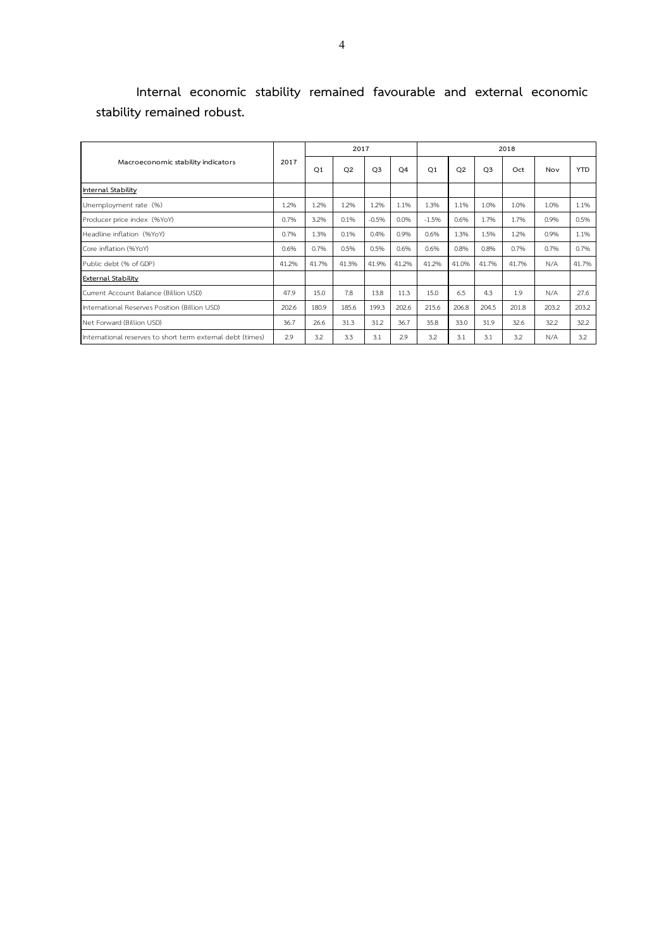|                            | Internal economic stability remained favourable and external economic |  |  |  |
|----------------------------|-----------------------------------------------------------------------|--|--|--|
| stability remained robust. |                                                                       |  |  |  |

|                                                            | 2017  |                | 2017           |                |                | 2018           |                |                |       |       |            |  |
|------------------------------------------------------------|-------|----------------|----------------|----------------|----------------|----------------|----------------|----------------|-------|-------|------------|--|
| Macroeconomic stability indicators                         |       | O <sub>1</sub> | O <sub>2</sub> | O <sub>3</sub> | O <sub>4</sub> | O <sub>1</sub> | O <sub>2</sub> | O <sub>3</sub> | Oct   | Nov   | <b>YTD</b> |  |
| Internal Stability                                         |       |                |                |                |                |                |                |                |       |       |            |  |
| Unemployment rate (%)                                      | 1.2%  | 1.2%           | 1.2%           | 1.2%           | 1.1%           | 1.3%           | 1.1%           | 1.0%           | 1.0%  | 1.0%  | 1.1%       |  |
| Producer price index (%YoY)                                | 0.7%  | 3.2%           | 0.1%           | $-0.5%$        | 0.0%           | $-1.5%$        | 0.6%           | 1.7%           | 1.7%  | 0.9%  | 0.5%       |  |
| Headline inflation (%YoY)                                  | 0.7%  | 1.3%           | 0.1%           | 0.4%           | 0.9%           | 0.6%           | 1.3%           | 1.5%           | 1.2%  | 0.9%  | 1.1%       |  |
| Core inflation (%YoY)                                      | 0.6%  | 0.7%           | 0.5%           | 0.5%           | 0.6%           | 0.6%           | 0.8%           | 0.8%           | 0.7%  | 0.7%  | 0.7%       |  |
| Public debt (% of GDP)                                     | 41.2% | 41.7%          | 41.3%          | 41.9%          | 41.2%          | 41.2%          | 41.0%          | 41.7%          | 41.7% | N/A   | 41.7%      |  |
| <b>External Stability</b>                                  |       |                |                |                |                |                |                |                |       |       |            |  |
| Current Account Balance (Billion USD)                      | 47.9  | 15.0           | 7.8            | 13.8           | 11.3           | 15.0           | 6.5            | 4.3            | 1.9   | N/A   | 27.6       |  |
| International Reserves Position (Billion USD)              | 202.6 | 180.9          | 185.6          | 199.3          | 202.6          | 215.6          | 206.8          | 204.5          | 201.8 | 203.2 | 203.2      |  |
| Net Forward (Billion USD)                                  | 36.7  | 26.6           | 31.3           | 31.2           | 36.7           | 35.8           | 33.0           | 31.9           | 32.6  | 32.2  | 32.2       |  |
| International reserves to short term external debt (times) | 2.9   | 3.2            | 3.3            | 3.1            | 2.9            | 3.2            | 3.1            | 3.1            | 3.2   | N/A   | 3.2        |  |